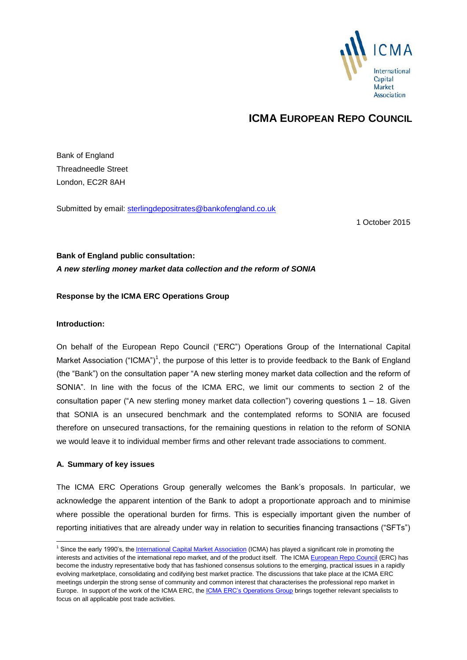

# **ICMA EUROPEAN REPO COUNCIL**

Bank of England Threadneedle Street London, EC2R 8AH

Submitted by email: [sterlingdepositrates@bankofengland.co.uk](mailto:sterlingdepositrates@bankofengland.co.uk)

1 October 2015

# **Bank of England public consultation:** *A new sterling money market data collection and the reform of SONIA*

#### **Response by the ICMA ERC Operations Group**

#### **Introduction:**

On behalf of the European Repo Council ("ERC") Operations Group of the International Capital Market Association ("ICMA")<sup>1</sup>, the purpose of this letter is to provide feedback to the Bank of England (the "Bank") on the consultation paper "A new sterling money market data collection and the reform of SONIA". In line with the focus of the ICMA ERC, we limit our comments to section 2 of the consultation paper ("A new sterling money market data collection") covering questions 1 – 18. Given that SONIA is an unsecured benchmark and the contemplated reforms to SONIA are focused therefore on unsecured transactions, for the remaining questions in relation to the reform of SONIA we would leave it to individual member firms and other relevant trade associations to comment.

#### **A. Summary of key issues**

-

The ICMA ERC Operations Group generally welcomes the Bank's proposals. In particular, we acknowledge the apparent intention of the Bank to adopt a proportionate approach and to minimise where possible the operational burden for firms. This is especially important given the number of reporting initiatives that are already under way in relation to securities financing transactions ("SFTs")

<sup>&</sup>lt;sup>1</sup> Since the early 1990's, th[e International Capital Market Association](http://www.icmagroup.org/) (ICMA) has played a significant role in promoting the interests and activities of the international repo market, and of the product itself. The ICMA [European Repo Council](http://www.icmagroup.org/About-ICMA/icma-councils-and-committees/European-Repo-Council/) (ERC) has become the industry representative body that has fashioned consensus solutions to the emerging, practical issues in a rapidly evolving marketplace, consolidating and codifying best market practice. The discussions that take place at the ICMA ERC meetings underpin the strong sense of community and common interest that characterises the professional repo market in Europe. In support of the work of the ICMA ERC, the [ICMA ERC's Operations Group](http://www.icmagroup.org/About-ICMA/icma-councils-and-committees/European-Repo-Council/European-Repo-Committee/ICMA-ERC-Operations-Group/) brings together relevant specialists to focus on all applicable post trade activities.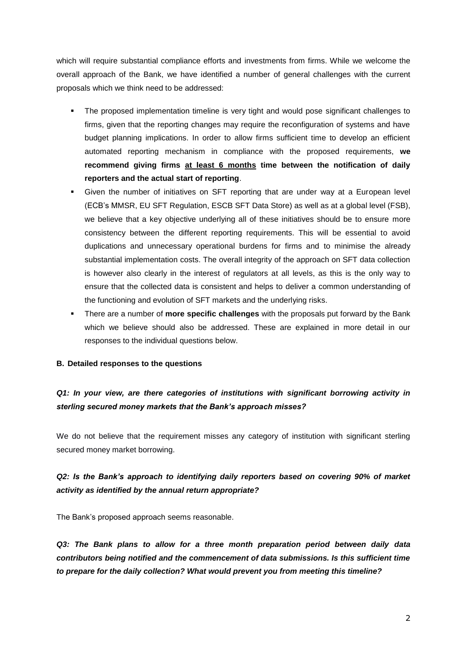which will require substantial compliance efforts and investments from firms. While we welcome the overall approach of the Bank, we have identified a number of general challenges with the current proposals which we think need to be addressed:

- The proposed implementation timeline is very tight and would pose significant challenges to firms, given that the reporting changes may require the reconfiguration of systems and have budget planning implications. In order to allow firms sufficient time to develop an efficient automated reporting mechanism in compliance with the proposed requirements, **we recommend giving firms at least 6 months time between the notification of daily reporters and the actual start of reporting**.
- Given the number of initiatives on SFT reporting that are under way at a European level (ECB's MMSR, EU SFT Regulation, ESCB SFT Data Store) as well as at a global level (FSB), we believe that a key objective underlying all of these initiatives should be to ensure more consistency between the different reporting requirements. This will be essential to avoid duplications and unnecessary operational burdens for firms and to minimise the already substantial implementation costs. The overall integrity of the approach on SFT data collection is however also clearly in the interest of regulators at all levels, as this is the only way to ensure that the collected data is consistent and helps to deliver a common understanding of the functioning and evolution of SFT markets and the underlying risks.
- There are a number of **more specific challenges** with the proposals put forward by the Bank which we believe should also be addressed. These are explained in more detail in our responses to the individual questions below.

#### **B. Detailed responses to the questions**

# *Q1: In your view, are there categories of institutions with significant borrowing activity in sterling secured money markets that the Bank's approach misses?*

We do not believe that the requirement misses any category of institution with significant sterling secured money market borrowing.

## *Q2: Is the Bank's approach to identifying daily reporters based on covering 90% of market activity as identified by the annual return appropriate?*

The Bank's proposed approach seems reasonable.

*Q3: The Bank plans to allow for a three month preparation period between daily data contributors being notified and the commencement of data submissions. Is this sufficient time to prepare for the daily collection? What would prevent you from meeting this timeline?*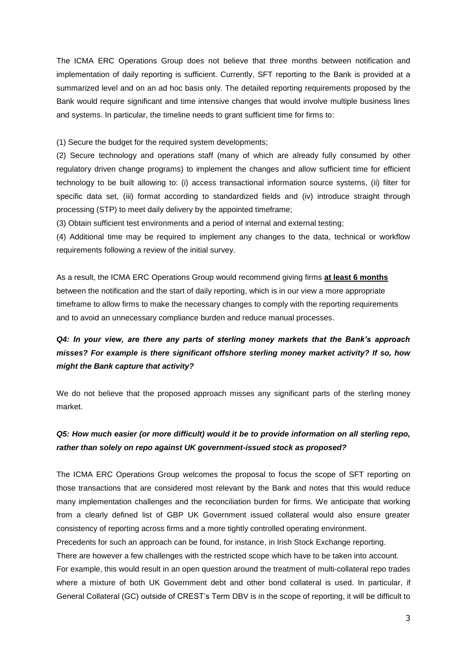The ICMA ERC Operations Group does not believe that three months between notification and implementation of daily reporting is sufficient. Currently, SFT reporting to the Bank is provided at a summarized level and on an ad hoc basis only. The detailed reporting requirements proposed by the Bank would require significant and time intensive changes that would involve multiple business lines and systems. In particular, the timeline needs to grant sufficient time for firms to:

(1) Secure the budget for the required system developments;

(2) Secure technology and operations staff (many of which are already fully consumed by other regulatory driven change programs) to implement the changes and allow sufficient time for efficient technology to be built allowing to: (i) access transactional information source systems, (ii) filter for specific data set, (iii) format according to standardized fields and (iv) introduce straight through processing (STP) to meet daily delivery by the appointed timeframe;

(3) Obtain sufficient test environments and a period of internal and external testing;

(4) Additional time may be required to implement any changes to the data, technical or workflow requirements following a review of the initial survey.

As a result, the ICMA ERC Operations Group would recommend giving firms **at least 6 months** between the notification and the start of daily reporting, which is in our view a more appropriate timeframe to allow firms to make the necessary changes to comply with the reporting requirements and to avoid an unnecessary compliance burden and reduce manual processes.

# *Q4: In your view, are there any parts of sterling money markets that the Bank's approach misses? For example is there significant offshore sterling money market activity? If so, how might the Bank capture that activity?*

We do not believe that the proposed approach misses any significant parts of the sterling money market.

# *Q5: How much easier (or more difficult) would it be to provide information on all sterling repo, rather than solely on repo against UK government-issued stock as proposed?*

The ICMA ERC Operations Group welcomes the proposal to focus the scope of SFT reporting on those transactions that are considered most relevant by the Bank and notes that this would reduce many implementation challenges and the reconciliation burden for firms. We anticipate that working from a clearly defined list of GBP UK Government issued collateral would also ensure greater consistency of reporting across firms and a more tightly controlled operating environment.

Precedents for such an approach can be found, for instance, in Irish Stock Exchange reporting.

There are however a few challenges with the restricted scope which have to be taken into account.

For example, this would result in an open question around the treatment of multi-collateral repo trades where a mixture of both UK Government debt and other bond collateral is used. In particular, if General Collateral (GC) outside of CREST's Term DBV is in the scope of reporting, it will be difficult to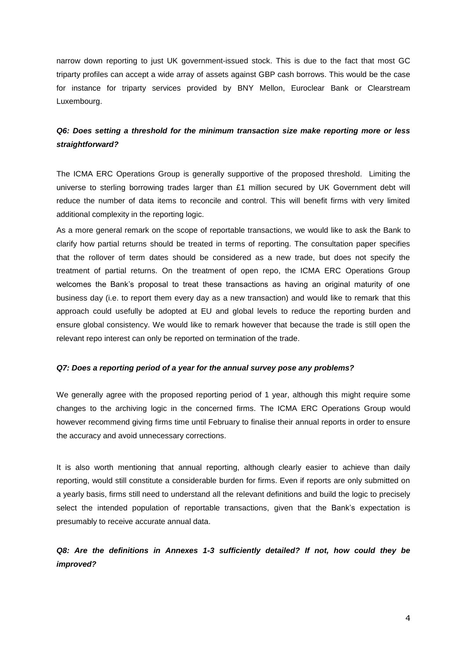narrow down reporting to just UK government-issued stock. This is due to the fact that most GC triparty profiles can accept a wide array of assets against GBP cash borrows. This would be the case for instance for triparty services provided by BNY Mellon, Euroclear Bank or Clearstream Luxembourg.

### *Q6: Does setting a threshold for the minimum transaction size make reporting more or less straightforward?*

The ICMA ERC Operations Group is generally supportive of the proposed threshold. Limiting the universe to sterling borrowing trades larger than £1 million secured by UK Government debt will reduce the number of data items to reconcile and control. This will benefit firms with very limited additional complexity in the reporting logic.

As a more general remark on the scope of reportable transactions, we would like to ask the Bank to clarify how partial returns should be treated in terms of reporting. The consultation paper specifies that the rollover of term dates should be considered as a new trade, but does not specify the treatment of partial returns. On the treatment of open repo, the ICMA ERC Operations Group welcomes the Bank's proposal to treat these transactions as having an original maturity of one business day (i.e. to report them every day as a new transaction) and would like to remark that this approach could usefully be adopted at EU and global levels to reduce the reporting burden and ensure global consistency. We would like to remark however that because the trade is still open the relevant repo interest can only be reported on termination of the trade.

#### *Q7: Does a reporting period of a year for the annual survey pose any problems?*

We generally agree with the proposed reporting period of 1 year, although this might require some changes to the archiving logic in the concerned firms. The ICMA ERC Operations Group would however recommend giving firms time until February to finalise their annual reports in order to ensure the accuracy and avoid unnecessary corrections.

It is also worth mentioning that annual reporting, although clearly easier to achieve than daily reporting, would still constitute a considerable burden for firms. Even if reports are only submitted on a yearly basis, firms still need to understand all the relevant definitions and build the logic to precisely select the intended population of reportable transactions, given that the Bank's expectation is presumably to receive accurate annual data.

*Q8: Are the definitions in Annexes 1-3 sufficiently detailed? If not, how could they be improved?*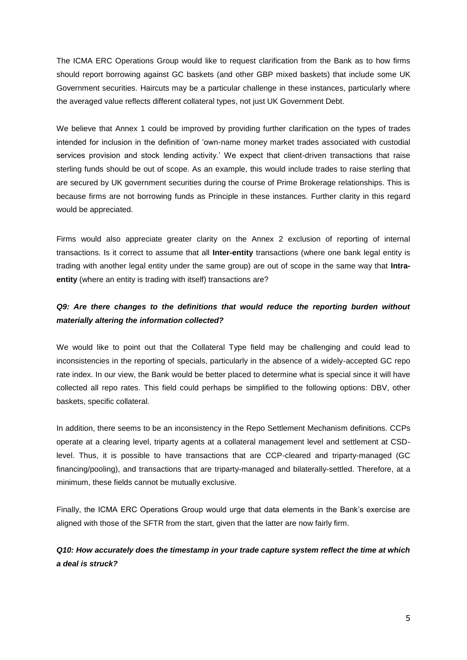The ICMA ERC Operations Group would like to request clarification from the Bank as to how firms should report borrowing against GC baskets (and other GBP mixed baskets) that include some UK Government securities. Haircuts may be a particular challenge in these instances, particularly where the averaged value reflects different collateral types, not just UK Government Debt.

We believe that Annex 1 could be improved by providing further clarification on the types of trades intended for inclusion in the definition of 'own-name money market trades associated with custodial services provision and stock lending activity.' We expect that client-driven transactions that raise sterling funds should be out of scope. As an example, this would include trades to raise sterling that are secured by UK government securities during the course of Prime Brokerage relationships. This is because firms are not borrowing funds as Principle in these instances. Further clarity in this regard would be appreciated.

Firms would also appreciate greater clarity on the Annex 2 exclusion of reporting of internal transactions. Is it correct to assume that all **Inter-entity** transactions (where one bank legal entity is trading with another legal entity under the same group) are out of scope in the same way that **Intraentity** (where an entity is trading with itself) transactions are?

### *Q9: Are there changes to the definitions that would reduce the reporting burden without materially altering the information collected?*

We would like to point out that the Collateral Type field may be challenging and could lead to inconsistencies in the reporting of specials, particularly in the absence of a widely-accepted GC repo rate index. In our view, the Bank would be better placed to determine what is special since it will have collected all repo rates. This field could perhaps be simplified to the following options: DBV, other baskets, specific collateral.

In addition, there seems to be an inconsistency in the Repo Settlement Mechanism definitions. CCPs operate at a clearing level, triparty agents at a collateral management level and settlement at CSDlevel. Thus, it is possible to have transactions that are CCP-cleared and triparty-managed (GC financing/pooling), and transactions that are triparty-managed and bilaterally-settled. Therefore, at a minimum, these fields cannot be mutually exclusive.

Finally, the ICMA ERC Operations Group would urge that data elements in the Bank's exercise are aligned with those of the SFTR from the start, given that the latter are now fairly firm.

## *Q10: How accurately does the timestamp in your trade capture system reflect the time at which a deal is struck?*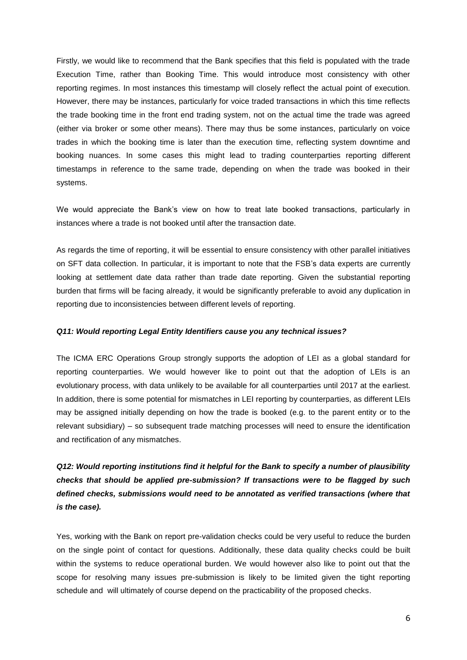Firstly, we would like to recommend that the Bank specifies that this field is populated with the trade Execution Time, rather than Booking Time. This would introduce most consistency with other reporting regimes. In most instances this timestamp will closely reflect the actual point of execution. However, there may be instances, particularly for voice traded transactions in which this time reflects the trade booking time in the front end trading system, not on the actual time the trade was agreed (either via broker or some other means). There may thus be some instances, particularly on voice trades in which the booking time is later than the execution time, reflecting system downtime and booking nuances. In some cases this might lead to trading counterparties reporting different timestamps in reference to the same trade, depending on when the trade was booked in their systems.

We would appreciate the Bank's view on how to treat late booked transactions, particularly in instances where a trade is not booked until after the transaction date.

As regards the time of reporting, it will be essential to ensure consistency with other parallel initiatives on SFT data collection. In particular, it is important to note that the FSB's data experts are currently looking at settlement date data rather than trade date reporting. Given the substantial reporting burden that firms will be facing already, it would be significantly preferable to avoid any duplication in reporting due to inconsistencies between different levels of reporting.

#### *Q11: Would reporting Legal Entity Identifiers cause you any technical issues?*

The ICMA ERC Operations Group strongly supports the adoption of LEI as a global standard for reporting counterparties. We would however like to point out that the adoption of LEIs is an evolutionary process, with data unlikely to be available for all counterparties until 2017 at the earliest. In addition, there is some potential for mismatches in LEI reporting by counterparties, as different LEIs may be assigned initially depending on how the trade is booked (e.g. to the parent entity or to the relevant subsidiary) – so subsequent trade matching processes will need to ensure the identification and rectification of any mismatches.

*Q12: Would reporting institutions find it helpful for the Bank to specify a number of plausibility checks that should be applied pre-submission? If transactions were to be flagged by such defined checks, submissions would need to be annotated as verified transactions (where that is the case).*

Yes, working with the Bank on report pre-validation checks could be very useful to reduce the burden on the single point of contact for questions. Additionally, these data quality checks could be built within the systems to reduce operational burden. We would however also like to point out that the scope for resolving many issues pre-submission is likely to be limited given the tight reporting schedule and will ultimately of course depend on the practicability of the proposed checks.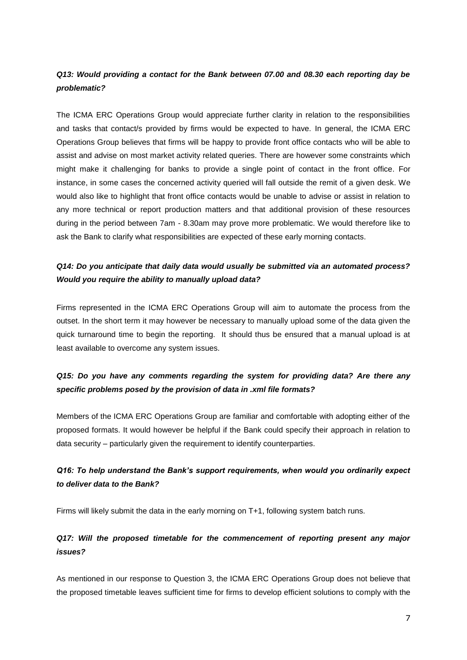## *Q13: Would providing a contact for the Bank between 07.00 and 08.30 each reporting day be problematic?*

The ICMA ERC Operations Group would appreciate further clarity in relation to the responsibilities and tasks that contact/s provided by firms would be expected to have. In general, the ICMA ERC Operations Group believes that firms will be happy to provide front office contacts who will be able to assist and advise on most market activity related queries. There are however some constraints which might make it challenging for banks to provide a single point of contact in the front office. For instance, in some cases the concerned activity queried will fall outside the remit of a given desk. We would also like to highlight that front office contacts would be unable to advise or assist in relation to any more technical or report production matters and that additional provision of these resources during in the period between 7am - 8.30am may prove more problematic. We would therefore like to ask the Bank to clarify what responsibilities are expected of these early morning contacts.

## *Q14: Do you anticipate that daily data would usually be submitted via an automated process? Would you require the ability to manually upload data?*

Firms represented in the ICMA ERC Operations Group will aim to automate the process from the outset. In the short term it may however be necessary to manually upload some of the data given the quick turnaround time to begin the reporting. It should thus be ensured that a manual upload is at least available to overcome any system issues.

# *Q15: Do you have any comments regarding the system for providing data? Are there any specific problems posed by the provision of data in .xml file formats?*

Members of the ICMA ERC Operations Group are familiar and comfortable with adopting either of the proposed formats. It would however be helpful if the Bank could specify their approach in relation to data security – particularly given the requirement to identify counterparties.

# *Q16: To help understand the Bank's support requirements, when would you ordinarily expect to deliver data to the Bank?*

Firms will likely submit the data in the early morning on T+1, following system batch runs.

# *Q17: Will the proposed timetable for the commencement of reporting present any major issues?*

As mentioned in our response to Question 3, the ICMA ERC Operations Group does not believe that the proposed timetable leaves sufficient time for firms to develop efficient solutions to comply with the